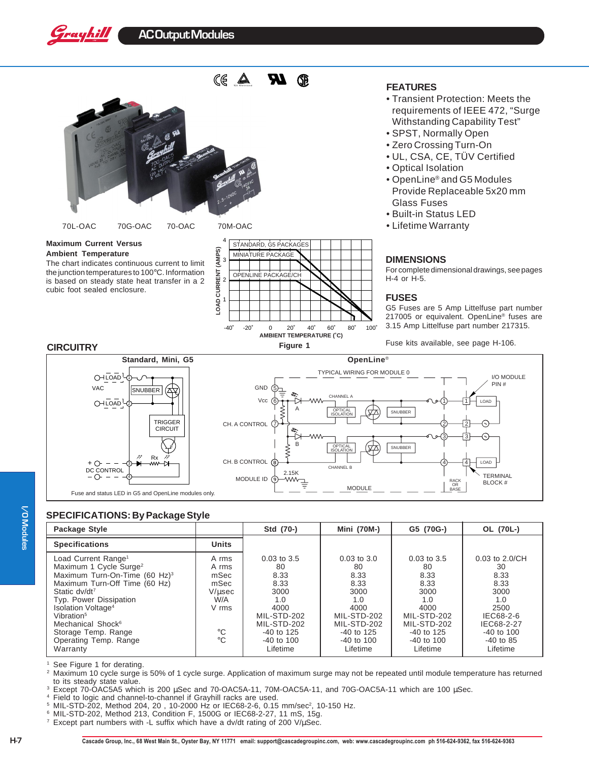## **AC Output Modules**



### **Maximum Current Versus**

Grayhill

**Ambient Temperature** The chart indicates continuous current to limit the junction temperatures to 100°C. Information is based on steady state heat transfer in a 2 cubic foot sealed enclosure.



### **FEATURES**

- Transient Protection: Meets the requirements of IEEE 472, "Surge Withstanding Capability Test"
- SPST, Normally Open
- Zero Crossing Turn-On
- UL, CSA, CE, TÜV Certified
- Optical Isolation
- OpenLine® and G5 Modules Provide Replaceable 5x20 mm Glass Fuses
- Built-in Status LED
- Lifetime Warranty

### **DIMENSIONS**

For complete dimensional drawings, see pages H-4 or H-5.

### **FUSES**

G5 Fuses are 5 Amp Littelfuse part number 217005 or equivalent. OpenLine® fuses are 3.15 Amp Littelfuse part number 217315.





# //O Modules **I/O Modules**

### **SPECIFICATIONS: By Package Style**

| Package Style                                                                                                                                                                                                                                                                                                                                                       |                                                                               | Std (70-)                                                                                                                                | <b>Mini (70M-)</b>                                                                                                                       | G5 (70G-)                                                                                                                              | OL (70L-)                                                                                                                                |
|---------------------------------------------------------------------------------------------------------------------------------------------------------------------------------------------------------------------------------------------------------------------------------------------------------------------------------------------------------------------|-------------------------------------------------------------------------------|------------------------------------------------------------------------------------------------------------------------------------------|------------------------------------------------------------------------------------------------------------------------------------------|----------------------------------------------------------------------------------------------------------------------------------------|------------------------------------------------------------------------------------------------------------------------------------------|
| <b>Specifications</b>                                                                                                                                                                                                                                                                                                                                               | <b>Units</b>                                                                  |                                                                                                                                          |                                                                                                                                          |                                                                                                                                        |                                                                                                                                          |
| Load Current Range <sup>1</sup><br>Maximum 1 Cycle Surge <sup>2</sup><br>Maximum Turn-On-Time (60 Hz) <sup>3</sup><br>Maximum Turn-Off Time (60 Hz)<br>Static dv/dt <sup>7</sup><br>Typ. Power Dissipation<br>Isolation Voltage <sup>4</sup><br>Vibration <sup>5</sup><br>Mechanical Shock <sup>6</sup><br>Storage Temp. Range<br>Operating Temp. Range<br>Warranty | A rms<br>A rms<br>mSec<br>mSec<br>V/usec<br>W/A<br>V rms<br>°C<br>$^{\circ}C$ | $0.03$ to $3.5$<br>80<br>8.33<br>8.33<br>3000<br>1.0<br>4000<br>MIL-STD-202<br>MIL-STD-202<br>$-40$ to 125<br>$-40$ to $100$<br>Lifetime | $0.03$ to $3.0$<br>80<br>8.33<br>8.33<br>3000<br>1.0<br>4000<br>MIL-STD-202<br>MIL-STD-202<br>$-40$ to 125<br>$-40$ to $100$<br>Lifetime | $0.03$ to 3.5<br>80<br>8.33<br>8.33<br>3000<br>1.0<br>4000<br>MIL-STD-202<br>MIL-STD-202<br>$-40$ to 125<br>$-40$ to $100$<br>Lifetime | $0.03$ to $2.0$ /CH<br>30<br>8.33<br>8.33<br>3000<br>1.0<br>2500<br>IEC68-2-6<br>IEC68-2-27<br>$-40$ to $100$<br>$-40$ to 85<br>Lifetime |

<sup>1</sup> See Figure 1 for derating.

Maximum 10 cycle surge is 50% of 1 cycle surge. Application of maximum surge may not be repeated until module temperature has returned to its steady state value.

<sup>3</sup> Except 70-OAC5A5 which is 200 µSec and 70-OAC5A-11, 70M-OAC5A-11, and 70G-OAC5A-11 which are 100 µSec.

<sup>4</sup> Field to logic and channel-to-channel if Grayhill racks are used.

<sup>5</sup> MIL-STD-202, Method 204, 20, 10-2000 Hz or IEC68-2-6, 0.15 mm/sec<sup>2</sup>, 10-150 Hz.

<sup>6</sup> MIL-STD-202, Method 213, Condition F, 1500G or IEC68-2-27, 11 mS, 15g.

 $7$  Except part numbers with -L suffix which have a dv/dt rating of 200 V/ $\mu$ Sec.